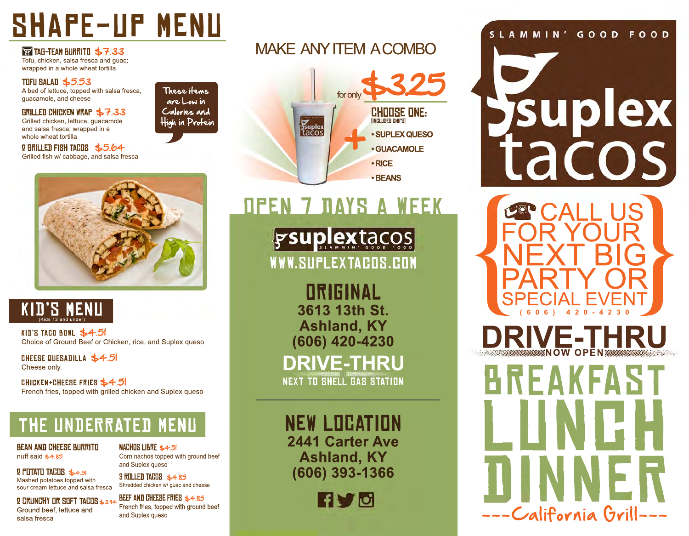## **SHAPE-UP MENU**

**PS TAG-TEAM BURRITO \$7.33** Tofu, chicken, salsa fresca and guac; wrapped in a whole wheat tortilla

#### TUFU SALAD \$5.53

A bed of lettuce, topped with salsa fresca, quacamole, and cheese

**GRILLED CHICKEN WRAP \$7.33** Grilled chicken, lettuce, guacamole and salsa fresca: wrapped in a whole wheat tortilla

2 GRILLED FISH TACOS \$5.64 Grilled fish w/ cabbage, and salsa fresca

#### are Low in Calories and High in Protein

These items

**OPEN 7 DAYS A WEEK** 

MAKE ANY ITEM A COMBO

for only

suplex<br>tacos

**CHOOSE ONE:** 

• SUPLEX QUESO

· GUACAMOLE

**TINCH TIDES CHIPS** 

 $\cdot$  RICE · BEANS

gsuplextacos WWW.SUPLEXTACOS.COM

> **ORIGINAL** 3613 13th St. **Ashland, KY** (606) 420-4230

**DRIVE-THRU NEXT TO SHELL GAS STATION** 

**NEW LOCATION** 2441 Carter Ave **Ashland, KY** (606) 393-1366



#### SLAMMIN' GOOD FOOD

# Suplex tacos



**VE-THR** 







KID'S TACO BOWL  $$4.5$ Choice of Ground Beef or Chicken, rice, and Suplex queso

CHEESE QUESADILLA \$4.5 Cheese only.

CHICKEN+CHEESE FRIES \$4.51 French fries, topped with grilled chicken and Suplex gueso

### THE UNDERRATED MENU

**BEAN AND CHEESE BURRITO** nuff said \$4.85

Mashed potatoes topped with

sour cream lettuce and salsa fresca

**2 PUTATU TACUS \$4.51** 

NACHOS LIBRE \$4.51 Corn nachos topped with ground beef and Suplex queso

3 ROLLED TACOS \$4.85 Shredded chicken w/ guac and cheese

Ground beef, lettuce and salsa fresca

#### **2 CRUNCHY OR SOFT TACOS \$3.94 BEEF AND CHEESE FRIES \$4.85** French fries, topped with ground beef and Suplex queso